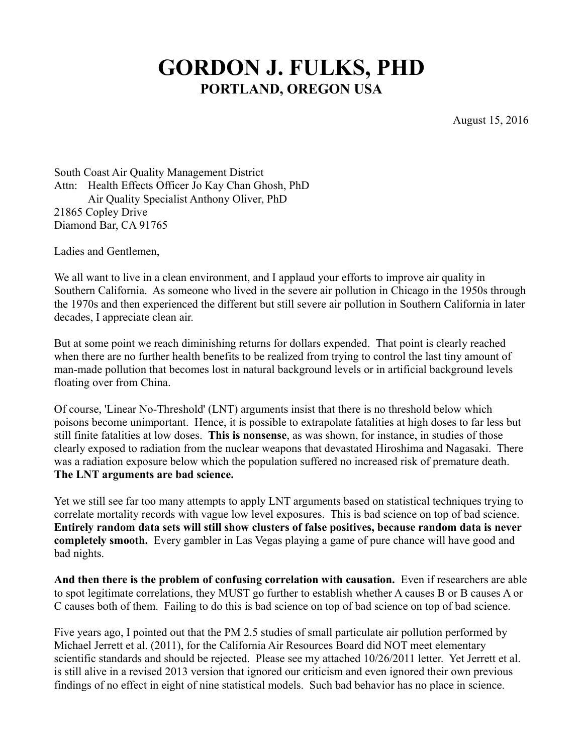# **GORDON J. FULKS, PHD PORTLAND, OREGON USA**

August 15, 2016

South Coast Air Quality Management District Attn: Health Effects Officer Jo Kay Chan Ghosh, PhD Air Quality Specialist Anthony Oliver, PhD 21865 Copley Drive Diamond Bar, CA 91765

Ladies and Gentlemen,

We all want to live in a clean environment, and I applaud your efforts to improve air quality in Southern California. As someone who lived in the severe air pollution in Chicago in the 1950s through the 1970s and then experienced the different but still severe air pollution in Southern California in later decades, I appreciate clean air.

But at some point we reach diminishing returns for dollars expended. That point is clearly reached when there are no further health benefits to be realized from trying to control the last tiny amount of man-made pollution that becomes lost in natural background levels or in artificial background levels floating over from China.

Of course, 'Linear No-Threshold' (LNT) arguments insist that there is no threshold below which poisons become unimportant. Hence, it is possible to extrapolate fatalities at high doses to far less but still finite fatalities at low doses. **This is nonsense**, as was shown, for instance, in studies of those clearly exposed to radiation from the nuclear weapons that devastated Hiroshima and Nagasaki. There was a radiation exposure below which the population suffered no increased risk of premature death. **The LNT arguments are bad science.**

Yet we still see far too many attempts to apply LNT arguments based on statistical techniques trying to correlate mortality records with vague low level exposures. This is bad science on top of bad science. **Entirely random data sets will still show clusters of false positives, because random data is never completely smooth.** Every gambler in Las Vegas playing a game of pure chance will have good and bad nights.

**And then there is the problem of confusing correlation with causation.** Even if researchers are able to spot legitimate correlations, they MUST go further to establish whether A causes B or B causes A or C causes both of them. Failing to do this is bad science on top of bad science on top of bad science.

Five years ago, I pointed out that the PM 2.5 studies of small particulate air pollution performed by Michael Jerrett et al. (2011), for the California Air Resources Board did NOT meet elementary scientific standards and should be rejected. Please see my attached 10/26/2011 letter. Yet Jerrett et al. is still alive in a revised 2013 version that ignored our criticism and even ignored their own previous findings of no effect in eight of nine statistical models. Such bad behavior has no place in science.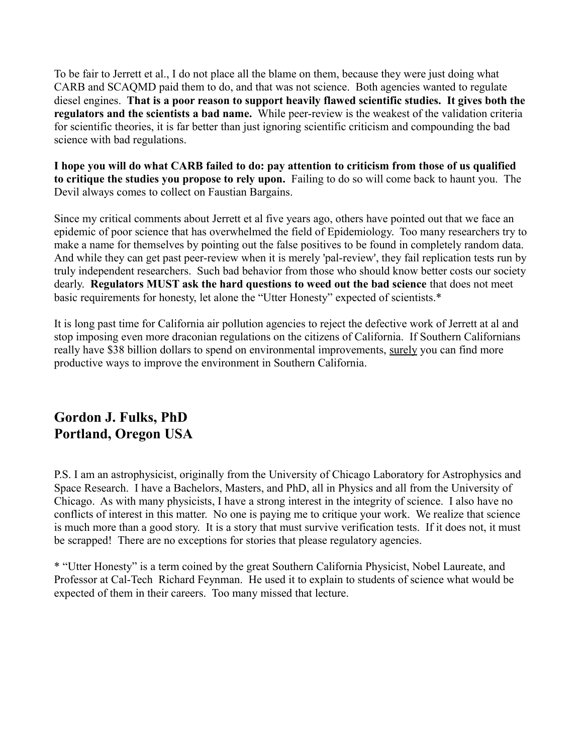To be fair to Jerrett et al., I do not place all the blame on them, because they were just doing what CARB and SCAQMD paid them to do, and that was not science. Both agencies wanted to regulate diesel engines. **That is a poor reason to support heavily flawed scientific studies. It gives both the regulators and the scientists a bad name.** While peer-review is the weakest of the validation criteria for scientific theories, it is far better than just ignoring scientific criticism and compounding the bad science with bad regulations.

**I hope you will do what CARB failed to do: pay attention to criticism from those of us qualified to critique the studies you propose to rely upon.** Failing to do so will come back to haunt you. The Devil always comes to collect on Faustian Bargains.

Since my critical comments about Jerrett et al five years ago, others have pointed out that we face an epidemic of poor science that has overwhelmed the field of Epidemiology. Too many researchers try to make a name for themselves by pointing out the false positives to be found in completely random data. And while they can get past peer-review when it is merely 'pal-review', they fail replication tests run by truly independent researchers. Such bad behavior from those who should know better costs our society dearly. **Regulators MUST ask the hard questions to weed out the bad science** that does not meet basic requirements for honesty, let alone the "Utter Honesty" expected of scientists.\*

It is long past time for California air pollution agencies to reject the defective work of Jerrett at al and stop imposing even more draconian regulations on the citizens of California. If Southern Californians really have \$38 billion dollars to spend on environmental improvements, surely you can find more productive ways to improve the environment in Southern California.

### **Gordon J. Fulks, PhD Portland, Oregon USA**

P.S. I am an astrophysicist, originally from the University of Chicago Laboratory for Astrophysics and Space Research. I have a Bachelors, Masters, and PhD, all in Physics and all from the University of Chicago. As with many physicists, I have a strong interest in the integrity of science. I also have no conflicts of interest in this matter. No one is paying me to critique your work. We realize that science is much more than a good story. It is a story that must survive verification tests. If it does not, it must be scrapped! There are no exceptions for stories that please regulatory agencies.

\* "Utter Honesty" is a term coined by the great Southern California Physicist, Nobel Laureate, and Professor at Cal-Tech Richard Feynman. He used it to explain to students of science what would be expected of them in their careers. Too many missed that lecture.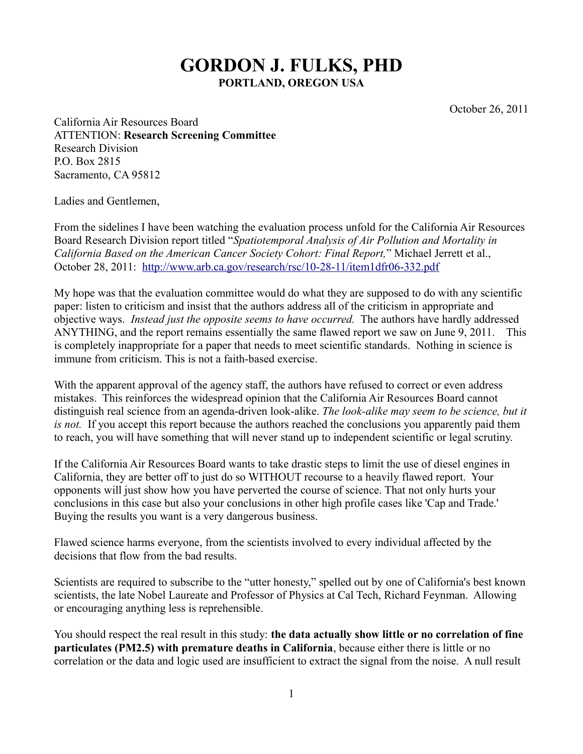## **GORDON J. FULKS, PHD PORTLAND, OREGON USA**

October 26, 2011

California Air Resources Board ATTENTION: **Research Screening Committee** Research Division P.O. Box 2815 Sacramento, CA 95812

Ladies and Gentlemen,

From the sidelines I have been watching the evaluation process unfold for the California Air Resources Board Research Division report titled "*Spatiotemporal Analysis of Air Pollution and Mortality in California Based on the American Cancer Society Cohort: Final Report,*" Michael Jerrett et al., October 28, 2011: <http://www.arb.ca.gov/research/rsc/10-28-11/item1dfr06-332.pdf>

My hope was that the evaluation committee would do what they are supposed to do with any scientific paper: listen to criticism and insist that the authors address all of the criticism in appropriate and objective ways. *Instead just the opposite seems to have occurred.* The authors have hardly addressed ANYTHING, and the report remains essentially the same flawed report we saw on June 9, 2011. This is completely inappropriate for a paper that needs to meet scientific standards. Nothing in science is immune from criticism. This is not a faith-based exercise.

With the apparent approval of the agency staff, the authors have refused to correct or even address mistakes. This reinforces the widespread opinion that the California Air Resources Board cannot distinguish real science from an agenda-driven look-alike. *The look-alike may seem to be science, but it is not.* If you accept this report because the authors reached the conclusions you apparently paid them to reach, you will have something that will never stand up to independent scientific or legal scrutiny.

If the California Air Resources Board wants to take drastic steps to limit the use of diesel engines in California, they are better off to just do so WITHOUT recourse to a heavily flawed report. Your opponents will just show how you have perverted the course of science. That not only hurts your conclusions in this case but also your conclusions in other high profile cases like 'Cap and Trade.' Buying the results you want is a very dangerous business.

Flawed science harms everyone, from the scientists involved to every individual affected by the decisions that flow from the bad results.

Scientists are required to subscribe to the "utter honesty," spelled out by one of California's best known scientists, the late Nobel Laureate and Professor of Physics at Cal Tech, Richard Feynman. Allowing or encouraging anything less is reprehensible.

You should respect the real result in this study: **the data actually show little or no correlation of fine particulates (PM2.5) with premature deaths in California**, because either there is little or no correlation or the data and logic used are insufficient to extract the signal from the noise. A null result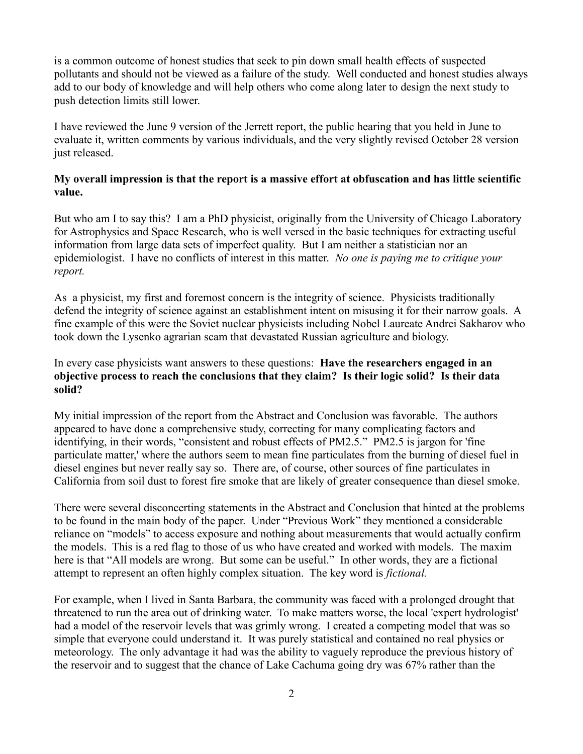is a common outcome of honest studies that seek to pin down small health effects of suspected pollutants and should not be viewed as a failure of the study. Well conducted and honest studies always add to our body of knowledge and will help others who come along later to design the next study to push detection limits still lower.

I have reviewed the June 9 version of the Jerrett report, the public hearing that you held in June to evaluate it, written comments by various individuals, and the very slightly revised October 28 version just released.

### **My overall impression is that the report is a massive effort at obfuscation and has little scientific value.**

But who am I to say this? I am a PhD physicist, originally from the University of Chicago Laboratory for Astrophysics and Space Research, who is well versed in the basic techniques for extracting useful information from large data sets of imperfect quality. But I am neither a statistician nor an epidemiologist. I have no conflicts of interest in this matter. *No one is paying me to critique your report.*

As a physicist, my first and foremost concern is the integrity of science. Physicists traditionally defend the integrity of science against an establishment intent on misusing it for their narrow goals. A fine example of this were the Soviet nuclear physicists including Nobel Laureate Andrei Sakharov who took down the Lysenko agrarian scam that devastated Russian agriculture and biology.

### In every case physicists want answers to these questions: **Have the researchers engaged in an objective process to reach the conclusions that they claim? Is their logic solid? Is their data solid?**

My initial impression of the report from the Abstract and Conclusion was favorable. The authors appeared to have done a comprehensive study, correcting for many complicating factors and identifying, in their words, "consistent and robust effects of PM2.5." PM2.5 is jargon for 'fine particulate matter,' where the authors seem to mean fine particulates from the burning of diesel fuel in diesel engines but never really say so. There are, of course, other sources of fine particulates in California from soil dust to forest fire smoke that are likely of greater consequence than diesel smoke.

There were several disconcerting statements in the Abstract and Conclusion that hinted at the problems to be found in the main body of the paper. Under "Previous Work" they mentioned a considerable reliance on "models" to access exposure and nothing about measurements that would actually confirm the models. This is a red flag to those of us who have created and worked with models. The maxim here is that "All models are wrong. But some can be useful." In other words, they are a fictional attempt to represent an often highly complex situation. The key word is *fictional.*

For example, when I lived in Santa Barbara, the community was faced with a prolonged drought that threatened to run the area out of drinking water. To make matters worse, the local 'expert hydrologist' had a model of the reservoir levels that was grimly wrong. I created a competing model that was so simple that everyone could understand it. It was purely statistical and contained no real physics or meteorology. The only advantage it had was the ability to vaguely reproduce the previous history of the reservoir and to suggest that the chance of Lake Cachuma going dry was 67% rather than the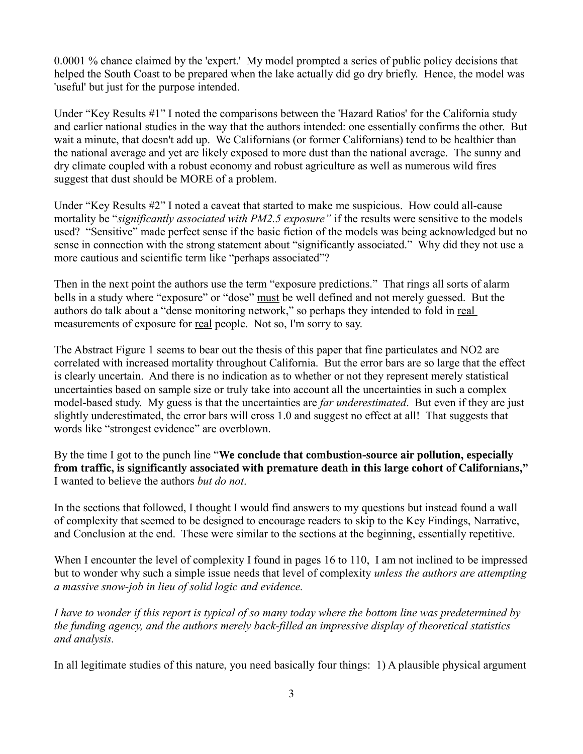0.0001 % chance claimed by the 'expert.' My model prompted a series of public policy decisions that helped the South Coast to be prepared when the lake actually did go dry briefly. Hence, the model was 'useful' but just for the purpose intended.

Under "Key Results #1" I noted the comparisons between the 'Hazard Ratios' for the California study and earlier national studies in the way that the authors intended: one essentially confirms the other. But wait a minute, that doesn't add up. We Californians (or former Californians) tend to be healthier than the national average and yet are likely exposed to more dust than the national average. The sunny and dry climate coupled with a robust economy and robust agriculture as well as numerous wild fires suggest that dust should be MORE of a problem.

Under "Key Results #2" I noted a caveat that started to make me suspicious. How could all-cause mortality be "*significantly associated with PM2.5 exposure"* if the results were sensitive to the models used? "Sensitive" made perfect sense if the basic fiction of the models was being acknowledged but no sense in connection with the strong statement about "significantly associated." Why did they not use a more cautious and scientific term like "perhaps associated"?

Then in the next point the authors use the term "exposure predictions." That rings all sorts of alarm bells in a study where "exposure" or "dose" must be well defined and not merely guessed. But the authors do talk about a "dense monitoring network," so perhaps they intended to fold in real measurements of exposure for <u>real</u> people. Not so, I'm sorry to say.

The Abstract Figure 1 seems to bear out the thesis of this paper that fine particulates and NO2 are correlated with increased mortality throughout California. But the error bars are so large that the effect is clearly uncertain. And there is no indication as to whether or not they represent merely statistical uncertainties based on sample size or truly take into account all the uncertainties in such a complex model-based study. My guess is that the uncertainties are *far underestimated*. But even if they are just slightly underestimated, the error bars will cross 1.0 and suggest no effect at all! That suggests that words like "strongest evidence" are overblown.

By the time I got to the punch line "**We conclude that combustion-source air pollution, especially from traffic, is significantly associated with premature death in this large cohort of Californians,"** I wanted to believe the authors *but do not*.

In the sections that followed, I thought I would find answers to my questions but instead found a wall of complexity that seemed to be designed to encourage readers to skip to the Key Findings, Narrative, and Conclusion at the end. These were similar to the sections at the beginning, essentially repetitive.

When I encounter the level of complexity I found in pages 16 to 110, I am not inclined to be impressed but to wonder why such a simple issue needs that level of complexity *unless the authors are attempting a massive snow-job in lieu of solid logic and evidence.*

*I have to wonder if this report is typical of so many today where the bottom line was predetermined by the funding agency, and the authors merely back-filled an impressive display of theoretical statistics and analysis.*

In all legitimate studies of this nature, you need basically four things: 1) A plausible physical argument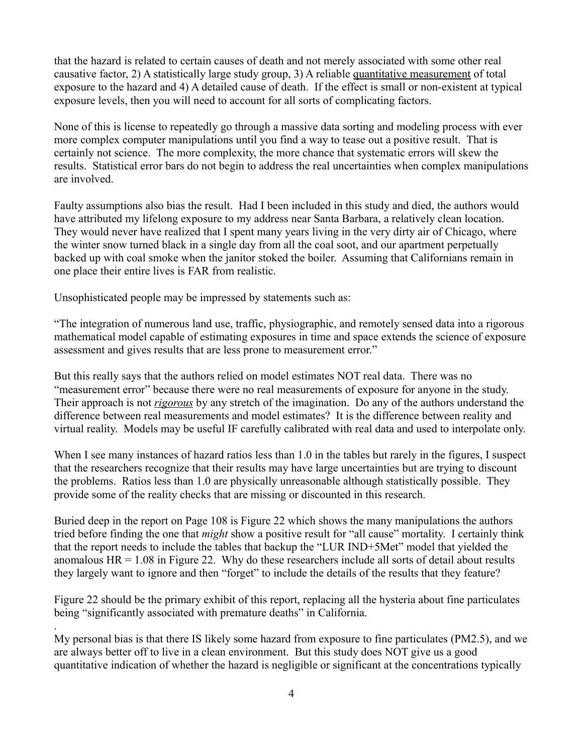that the hazard is related to certain causes of death and not merely associated with some other real causative factor, 2) A statistically large study group, 3) A reliable quantitative measurement of total exposure to the hazard and 4) A detailed cause of death. If the effect is small or non-existent at typical exposure levels, then you will need to account for all sorts of complicating factors.

None of this is license to repeatedly go through a massive data sorting and modeling process with ever more complex computer manipulations until you find a way to tease out a positive result. That is certainly not science. The more complexity, the more chance that systematic errors will skew the results. Statistical error bars do not begin to address the real uncertainties when complex manipulations are involved.

Faulty assumptions also bias the result. Had I been included in this study and died, the authors would have attributed my lifelong exposure to my address near Santa Barbara, a relatively clean location. They would never have realized that I spent many years living in the very dirty air of Chicago, where the winter snow turned black in a single day from all the coal soot, and our apartment perpetually backed up with coal smoke when the janitor stoked the boiler. Assuming that Californians remain in one place their entire lives is FAR from realistic.

Unsophisticated people may be impressed by statements such as:

.

"The integration of numerous land use, traffic, physiographic, and remotely sensed data into a rigorous mathematical model capable of estimating exposures in time and space extends the science of exposure assessment and gives results that are less prone to measurement error."

But this really says that the authors relied on model estimates NOT real data. There was no "measurement error" because there were no real measurements of exposure for anyone in the study. Their approach is not *rigorous* by any stretch of the imagination. Do any of the authors understand the difference between real measurements and model estimates? It is the difference between reality and virtual reality. Models may be useful IF carefully calibrated with real data and used to interpolate only.

When I see many instances of hazard ratios less than 1.0 in the tables but rarely in the figures, I suspect that the researchers recognize that their results may have large uncertainties but are trying to discount the problems. Ratios less than 1.0 are physically unreasonable although statistically possible. They provide some of the reality checks that are missing or discounted in this research.

Buried deep in the report on Page 108 is Figure 22 which shows the many manipulations the authors tried before finding the one that *might* show a positive result for "all cause" mortality. I certainly think that the report needs to include the tables that backup the "LUR IND+5Met" model that yielded the anomalous  $HR = 1.08$  in Figure 22. Why do these researchers include all sorts of detail about results they largely want to ignore and then "forget" to include the details of the results that they feature?

Figure 22 should be the primary exhibit of this report, replacing all the hysteria about fine particulates being "significantly associated with premature deaths" in California.

My personal bias is that there IS likely some hazard from exposure to fine particulates (PM2.5), and we are always better off to live in a clean environment. But this study does NOT give us a good quantitative indication of whether the hazard is negligible or significant at the concentrations typically